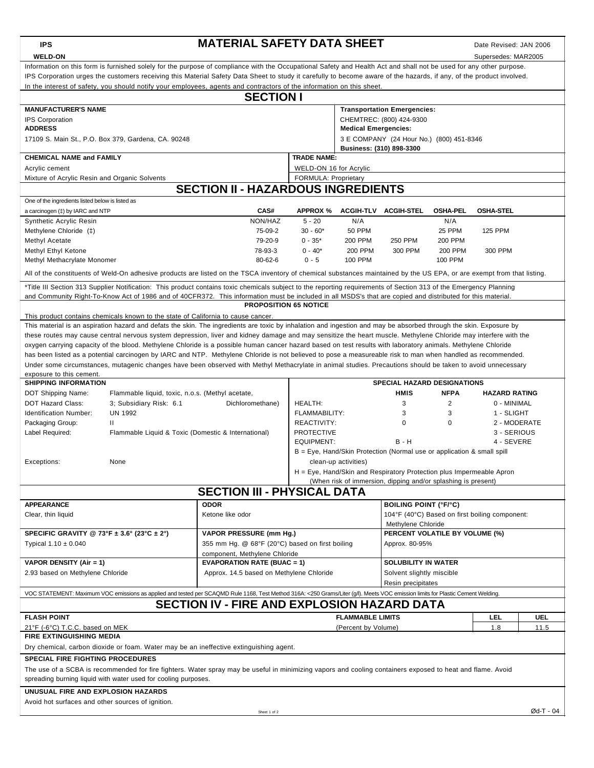| <b>IPS</b>                                                                                                                                                                                                                                                                                                                                                                                                                                                           | <b>MATERIAL SAFETY DATA SHEET</b><br>Date Revised: JAN 2006                                    |                                                                      |                             |                                                               |                                                |                      |                                |  |  |  |  |
|----------------------------------------------------------------------------------------------------------------------------------------------------------------------------------------------------------------------------------------------------------------------------------------------------------------------------------------------------------------------------------------------------------------------------------------------------------------------|------------------------------------------------------------------------------------------------|----------------------------------------------------------------------|-----------------------------|---------------------------------------------------------------|------------------------------------------------|----------------------|--------------------------------|--|--|--|--|
| <b>WELD-ON</b>                                                                                                                                                                                                                                                                                                                                                                                                                                                       |                                                                                                | Supersedes: MAR2005                                                  |                             |                                                               |                                                |                      |                                |  |  |  |  |
| Information on this form is furnished solely for the purpose of compliance with the Occupational Safety and Health Act and shall not be used for any other purpose.<br>IPS Corporation urges the customers receiving this Material Safety Data Sheet to study it carefully to become aware of the hazards, if any, of the product involved.<br>In the interest of safety, you should notify your employees, agents and contractors of the information on this sheet. |                                                                                                |                                                                      |                             |                                                               |                                                |                      |                                |  |  |  |  |
| <b>SECTION I</b>                                                                                                                                                                                                                                                                                                                                                                                                                                                     |                                                                                                |                                                                      |                             |                                                               |                                                |                      |                                |  |  |  |  |
| <b>MANUFACTURER'S NAME</b><br><b>Transportation Emergencies:</b>                                                                                                                                                                                                                                                                                                                                                                                                     |                                                                                                |                                                                      |                             |                                                               |                                                |                      |                                |  |  |  |  |
| <b>IPS Corporation</b>                                                                                                                                                                                                                                                                                                                                                                                                                                               |                                                                                                | CHEMTREC: (800) 424-9300                                             |                             |                                                               |                                                |                      |                                |  |  |  |  |
| <b>ADDRESS</b>                                                                                                                                                                                                                                                                                                                                                                                                                                                       |                                                                                                |                                                                      | <b>Medical Emergencies:</b> |                                                               |                                                |                      |                                |  |  |  |  |
| 17109 S. Main St., P.O. Box 379, Gardena, CA. 90248                                                                                                                                                                                                                                                                                                                                                                                                                  |                                                                                                | 3 E COMPANY (24 Hour No.) (800) 451-8346<br>Business: (310) 898-3300 |                             |                                                               |                                                |                      |                                |  |  |  |  |
| <b>CHEMICAL NAME and FAMILY</b>                                                                                                                                                                                                                                                                                                                                                                                                                                      |                                                                                                | <b>TRADE NAME:</b>                                                   |                             |                                                               |                                                |                      |                                |  |  |  |  |
| Acrylic cement                                                                                                                                                                                                                                                                                                                                                                                                                                                       |                                                                                                | WELD-ON 16 for Acrylic                                               |                             |                                                               |                                                |                      |                                |  |  |  |  |
| FORMULA: Proprietary<br>Mixture of Acrylic Resin and Organic Solvents<br><b>SECTION II - HAZARDOUS INGREDIENTS</b>                                                                                                                                                                                                                                                                                                                                                   |                                                                                                |                                                                      |                             |                                                               |                                                |                      |                                |  |  |  |  |
| One of the ingredients listed below is listed as                                                                                                                                                                                                                                                                                                                                                                                                                     |                                                                                                |                                                                      |                             |                                                               |                                                |                      |                                |  |  |  |  |
| a carcinogen (#) by IARC and NTP                                                                                                                                                                                                                                                                                                                                                                                                                                     | CAS#                                                                                           | <b>APPROX %</b>                                                      |                             | ACGIH-TLV ACGIH-STEL                                          | <b>OSHA-PEL</b>                                | <b>OSHA-STEL</b>     |                                |  |  |  |  |
| Synthetic Acrylic Resin                                                                                                                                                                                                                                                                                                                                                                                                                                              | NON/HAZ                                                                                        | $5 - 20$                                                             | N/A                         |                                                               | N/A                                            |                      |                                |  |  |  |  |
| Methylene Chloride (‡)                                                                                                                                                                                                                                                                                                                                                                                                                                               | 75-09-2                                                                                        | $30 - 60*$                                                           | <b>50 PPM</b>               |                                                               | 25 PPM                                         | <b>125 PPM</b>       |                                |  |  |  |  |
| Methyl Acetate                                                                                                                                                                                                                                                                                                                                                                                                                                                       | 79-20-9                                                                                        | $0 - 35*$                                                            | <b>200 PPM</b>              | <b>250 PPM</b>                                                | 200 PPM                                        |                      |                                |  |  |  |  |
| Methyl Ethyl Ketone<br>Methyl Methacrylate Monomer                                                                                                                                                                                                                                                                                                                                                                                                                   | 78-93-3<br>80-62-6                                                                             | $0 - 40*$<br>$0 - 5$                                                 | 200 PPM<br>100 PPM          | 300 PPM                                                       | <b>200 PPM</b><br>100 PPM                      | 300 PPM              |                                |  |  |  |  |
| All of the constituents of Weld-On adhesive products are listed on the TSCA inventory of chemical substances maintained by the US EPA, or are exempt from that listing.                                                                                                                                                                                                                                                                                              |                                                                                                |                                                                      |                             |                                                               |                                                |                      |                                |  |  |  |  |
| *Title III Section 313 Supplier Notification: This product contains toxic chemicals subject to the reporting requirements of Section 313 of the Emergency Planning                                                                                                                                                                                                                                                                                                   |                                                                                                |                                                                      |                             |                                                               |                                                |                      |                                |  |  |  |  |
| and Community Right-To-Know Act of 1986 and of 40CFR372. This information must be included in all MSDS's that are copied and distributed for this material.                                                                                                                                                                                                                                                                                                          |                                                                                                |                                                                      |                             |                                                               |                                                |                      |                                |  |  |  |  |
|                                                                                                                                                                                                                                                                                                                                                                                                                                                                      | <b>PROPOSITION 65 NOTICE</b>                                                                   |                                                                      |                             |                                                               |                                                |                      |                                |  |  |  |  |
| This product contains chemicals known to the state of California to cause cancer.<br>This material is an aspiration hazard and defats the skin. The ingredients are toxic by inhalation and ingestion and may be absorbed through the skin. Exposure by                                                                                                                                                                                                              |                                                                                                |                                                                      |                             |                                                               |                                                |                      |                                |  |  |  |  |
| these routes may cause central nervous system depression, liver and kidney damage and may sensitize the heart muscle. Methylene Chloride may interfere with the                                                                                                                                                                                                                                                                                                      |                                                                                                |                                                                      |                             |                                                               |                                                |                      |                                |  |  |  |  |
| oxygen carrying capacity of the blood. Methylene Chloride is a possible human cancer hazard based on test results with laboratory animals. Methylene Chloride                                                                                                                                                                                                                                                                                                        |                                                                                                |                                                                      |                             |                                                               |                                                |                      |                                |  |  |  |  |
| has been listed as a potential carcinogen by IARC and NTP. Methylene Chloride is not believed to pose a measureable risk to man when handled as recommended.                                                                                                                                                                                                                                                                                                         |                                                                                                |                                                                      |                             |                                                               |                                                |                      |                                |  |  |  |  |
| Under some circumstances, mutagenic changes have been observed with Methyl Methacrylate in animal studies. Precautions should be taken to avoid unnecessary                                                                                                                                                                                                                                                                                                          |                                                                                                |                                                                      |                             |                                                               |                                                |                      |                                |  |  |  |  |
| exposure to this cement.<br><b>SHIPPING INFORMATION</b>                                                                                                                                                                                                                                                                                                                                                                                                              |                                                                                                |                                                                      |                             | SPECIAL HAZARD DESIGNATIONS                                   |                                                |                      |                                |  |  |  |  |
| DOT Shipping Name:<br>Flammable liquid, toxic, n.o.s. (Methyl acetate,                                                                                                                                                                                                                                                                                                                                                                                               |                                                                                                |                                                                      |                             | <b>HMIS</b>                                                   | <b>NFPA</b>                                    | <b>HAZARD RATING</b> |                                |  |  |  |  |
| 3; Subsidiary Risk: 6.1<br><b>DOT Hazard Class:</b>                                                                                                                                                                                                                                                                                                                                                                                                                  | HEALTH:                                                                                        |                                                                      | 3                           | 2                                                             | 0 - MINIMAL                                    |                      |                                |  |  |  |  |
| <b>UN 1992</b><br>Identification Number:                                                                                                                                                                                                                                                                                                                                                                                                                             | Dichloromethane)                                                                               |                                                                      |                             | 3                                                             | 3                                              | 1 - SLIGHT           |                                |  |  |  |  |
| Packaging Group:<br>$\mathbf{H}$                                                                                                                                                                                                                                                                                                                                                                                                                                     | REACTIVITY:                                                                                    |                                                                      | $\mathbf 0$                 | $\Omega$<br>2 - MODERATE                                      |                                                |                      |                                |  |  |  |  |
| Flammable Liquid & Toxic (Domestic & International)<br>Label Required:                                                                                                                                                                                                                                                                                                                                                                                               |                                                                                                | <b>PROTECTIVE</b><br>3 - SERIOUS                                     |                             |                                                               |                                                |                      |                                |  |  |  |  |
|                                                                                                                                                                                                                                                                                                                                                                                                                                                                      |                                                                                                | <b>EQUIPMENT:</b>                                                    |                             | B - H                                                         |                                                | 4 - SEVERE           |                                |  |  |  |  |
| Exceptions:<br>None                                                                                                                                                                                                                                                                                                                                                                                                                                                  | B = Eye, Hand/Skin Protection (Normal use or application & small spill<br>clean-up activities) |                                                                      |                             |                                                               |                                                |                      |                                |  |  |  |  |
|                                                                                                                                                                                                                                                                                                                                                                                                                                                                      | H = Eye, Hand/Skin and Respiratory Protection plus Impermeable Apron                           |                                                                      |                             |                                                               |                                                |                      |                                |  |  |  |  |
|                                                                                                                                                                                                                                                                                                                                                                                                                                                                      |                                                                                                |                                                                      |                             | (When risk of immersion, dipping and/or splashing is present) |                                                |                      |                                |  |  |  |  |
|                                                                                                                                                                                                                                                                                                                                                                                                                                                                      | <b>SECTION III - PHYSICAL DATA</b>                                                             |                                                                      |                             |                                                               |                                                |                      |                                |  |  |  |  |
| <b>APPEARANCE</b>                                                                                                                                                                                                                                                                                                                                                                                                                                                    | <b>ODOR</b>                                                                                    | <b>BOILING POINT (°F/°C)</b>                                         |                             |                                                               |                                                |                      |                                |  |  |  |  |
| Ketone like odor<br>Clear, thin liquid                                                                                                                                                                                                                                                                                                                                                                                                                               |                                                                                                |                                                                      |                             |                                                               | 104°F (40°C) Based on first boiling component: |                      |                                |  |  |  |  |
| SPECIFIC GRAVITY @ 73°F $\pm$ 3.6° (23°C $\pm$ 2°)                                                                                                                                                                                                                                                                                                                                                                                                                   | VAPOR PRESSURE (mm Hg.)                                                                        |                                                                      |                             | Methylene Chloride                                            |                                                |                      | PERCENT VOLATILE BY VOLUME (%) |  |  |  |  |
| Typical $1.10 \pm 0.040$                                                                                                                                                                                                                                                                                                                                                                                                                                             | 355 mm Hg. @ 68°F (20°C) based on first boiling                                                | Approx. 80-95%                                                       |                             |                                                               |                                                |                      |                                |  |  |  |  |
|                                                                                                                                                                                                                                                                                                                                                                                                                                                                      | component, Methylene Chloride                                                                  |                                                                      |                             |                                                               |                                                |                      |                                |  |  |  |  |
| VAPOR DENSITY (Air = 1)                                                                                                                                                                                                                                                                                                                                                                                                                                              | <b>EVAPORATION RATE (BUAC = 1)</b>                                                             |                                                                      | SOLUBILITY IN WATER         |                                                               |                                                |                      |                                |  |  |  |  |
| 2.93 based on Methylene Chloride<br>Approx. 14.5 based on Methylene Chloride                                                                                                                                                                                                                                                                                                                                                                                         |                                                                                                | Solvent slightly miscible                                            |                             |                                                               |                                                |                      |                                |  |  |  |  |
| Resin precipitates<br>VOC STATEMENT: Maximum VOC emissions as applied and tested per SCAQMD Rule 1168, Test Method 316A: <250 Grams/Liter (g/l). Meets VOC emission limits for Plastic Cement Welding.                                                                                                                                                                                                                                                               |                                                                                                |                                                                      |                             |                                                               |                                                |                      |                                |  |  |  |  |
|                                                                                                                                                                                                                                                                                                                                                                                                                                                                      | SECTION IV - FIRE AND EXPLOSION HAZARD DATA                                                    |                                                                      |                             |                                                               |                                                |                      |                                |  |  |  |  |
| <b>FLASH POINT</b>                                                                                                                                                                                                                                                                                                                                                                                                                                                   |                                                                                                |                                                                      | <b>FLAMMABLE LIMITS</b>     |                                                               |                                                | LEL                  | UEL                            |  |  |  |  |
| 21°F (-6°C) T.C.C. based on MEK                                                                                                                                                                                                                                                                                                                                                                                                                                      | (Percent by Volume)                                                                            |                                                                      |                             |                                                               | 1.8                                            | 11.5                 |                                |  |  |  |  |
| <b>FIRE EXTINGUISHING MEDIA</b>                                                                                                                                                                                                                                                                                                                                                                                                                                      |                                                                                                |                                                                      |                             |                                                               |                                                |                      |                                |  |  |  |  |
| Dry chemical, carbon dioxide or foam. Water may be an ineffective extinguishing agent.<br><b>SPECIAL FIRE FIGHTING PROCEDURES</b>                                                                                                                                                                                                                                                                                                                                    |                                                                                                |                                                                      |                             |                                                               |                                                |                      |                                |  |  |  |  |
| The use of a SCBA is recommended for fire fighters. Water spray may be useful in minimizing vapors and cooling containers exposed to heat and flame. Avoid                                                                                                                                                                                                                                                                                                           |                                                                                                |                                                                      |                             |                                                               |                                                |                      |                                |  |  |  |  |
| spreading burning liquid with water used for cooling purposes.                                                                                                                                                                                                                                                                                                                                                                                                       |                                                                                                |                                                                      |                             |                                                               |                                                |                      |                                |  |  |  |  |
| UNUSUAL FIRE AND EXPLOSION HAZARDS                                                                                                                                                                                                                                                                                                                                                                                                                                   |                                                                                                |                                                                      |                             |                                                               |                                                |                      |                                |  |  |  |  |
| Avoid hot surfaces and other sources of ignition.                                                                                                                                                                                                                                                                                                                                                                                                                    |                                                                                                |                                                                      |                             |                                                               |                                                |                      |                                |  |  |  |  |
|                                                                                                                                                                                                                                                                                                                                                                                                                                                                      | Sheet 1 of 2                                                                                   |                                                                      |                             |                                                               |                                                |                      | Ød-T - 04                      |  |  |  |  |